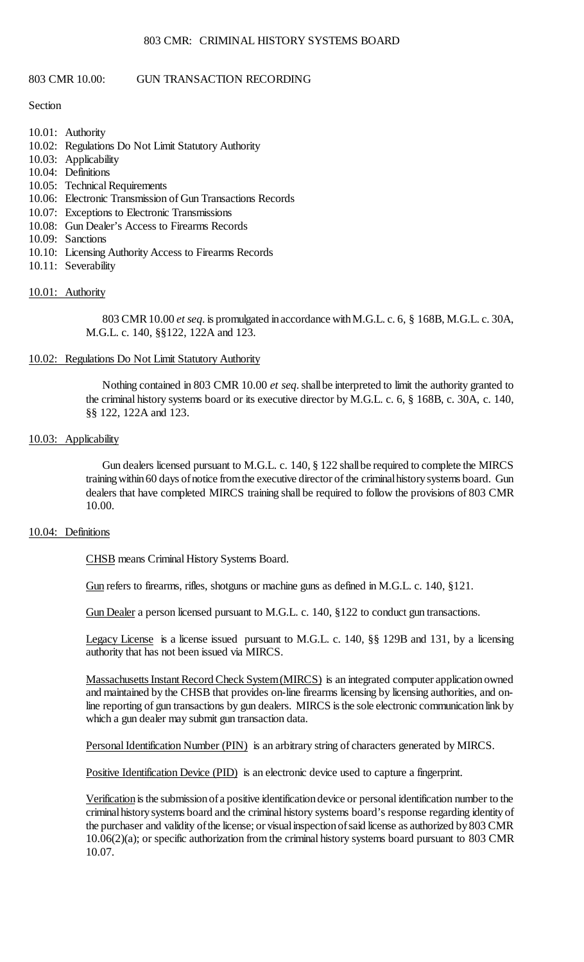## 803 CMR: CRIMINAL HISTORY SYSTEMS BOARD

## 803 CMR 10.00: GUN TRANSACTION RECORDING

#### Section

- 10.01: Authority
- 10.02: Regulations Do Not Limit Statutory Authority
- 10.03: Applicability
- 10.04: Definitions
- 10.05: Technical Requirements
- 10.06: Electronic Transmission of Gun Transactions Records
- 10.07: Exceptions to Electronic Transmissions
- 10.08: Gun Dealer's Access to Firearms Records
- 10.09: Sanctions
- 10.10: Licensing Authority Access to Firearms Records
- 10.11: Severability

# 10.01: Authority

 803 CMR 10.00 *et seq*. is promulgated in accordance with M.G.L. c. 6, § 168B, M.G.L. c. 30A, M.G.L. c. 140, §§122, 122A and 123.

## 10.02: Regulations Do Not Limit Statutory Authority

 Nothing contained in 803 CMR 10.00 *et seq*. shallbe interpreted to limit the authority granted to the criminal history systems board or its executive director by M.G.L. c. 6, § 168B, c. 30A, c. 140, §§ 122, 122A and 123.

## 10.03: Applicability

 Gun dealers licensed pursuant to M.G.L. c. 140, § 122 shall be required to complete the MIRCS training within 60 days of notice from the executive director of the criminal history systems board. Gun dealers that have completed MIRCS training shall be required to follow the provisions of 803 CMR 10.00.

#### 10.04: Definitions

CHSB means Criminal History Systems Board.

Gun refers to firearms, rifles, shotguns or machine guns as defined in M.G.L. c. 140, §121.

Gun Dealer a person licensed pursuant to M.G.L. c. 140, §122 to conduct gun transactions.

Legacy License is a license issued pursuant to M.G.L. c. 140, §§ 129B and 131, by a licensing authority that has not been issued via MIRCS.

Massachusetts Instant Record Check System (MIRCS) is an integrated computer application owned line reporting of gun transactions by gun dealers. MIRCS is the sole electronic communication link by and maintained by the CHSB that provides on-line firearms licensing by licensing authorities, and onwhich a gun dealer may submit gun transaction data.

Personal Identification Number (PIN) is an arbitrary string of characters generated by MIRCS.

Positive Identification Device (PID) is an electronic device used to capture a fingerprint.

 Verification is the submission of a positive identification device or personal identification number to the criminalhistorysystems board and the criminal history systems board's response regarding identityof the purchaser and validity of the license; or visual inspection of said license as authorized by 803 CMR 10.06(2)(a); or specific authorization from the criminal history systems board pursuant to 803 CMR 10.07.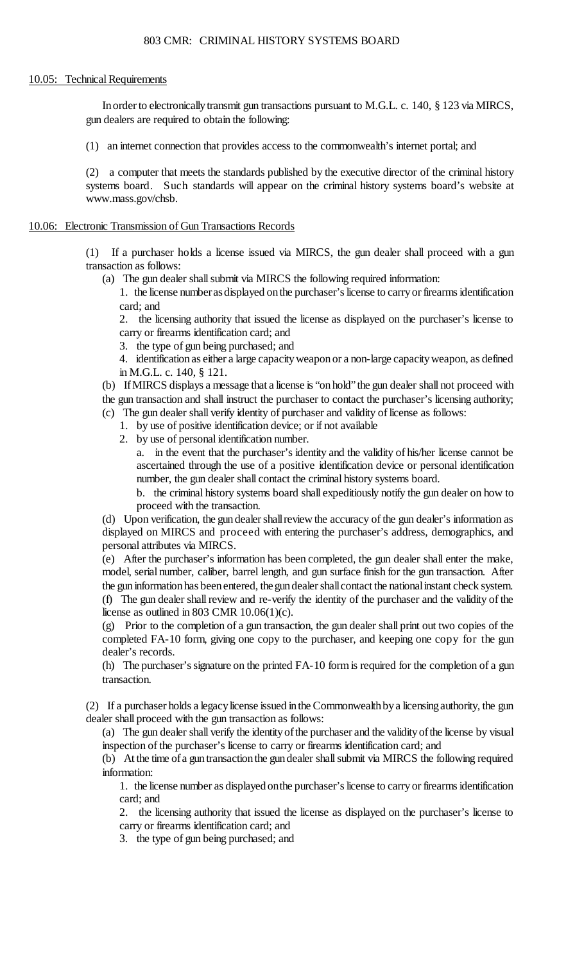#### 10.05: Technical Requirements

In order to electronically transmit gun transactions pursuant to M.G.L. c. 140, § 123 via MIRCS, gun dealers are required to obtain the following:

(1) an internet connection that provides access to the commonwealth's internet portal; and

 (2) a computer that meets the standards published by the executive director of the criminal history systems board. Such standards will appear on the criminal history systems board's website at www.mass.gov/chsb.

## 10.06: Electronic Transmission of Gun Transactions Records

(1) If a purchaser holds a license issued via MIRCS, the gun dealer shall proceed with a gun transaction as follows:

(a) The gun dealer shall submit via MIRCS the following required information:

 1. the license numberasdisplayed on the purchaser's license to carry or firearms identification card; and

2. the licensing authority that issued the license as displayed on the purchaser's license to carry or firearms identification card; and

3. the type of gun being purchased; and

 4. identification as either a large capacity weapon or a non-large capacity weapon, as defined in M.G.L. c. 140, § 121.

 (b) If MIRCS displays a message that a license is "on hold" the gun dealer shall not proceed with the gun transaction and shall instruct the purchaser to contact the purchaser's licensing authority;

- (c) The gun dealer shall verify identity of purchaser and validity of license as follows:
	- 1. by use of positive identification device; or if not available
	- 2. by use of personal identification number.

 a. in the event that the purchaser's identity and the validity of his/her license cannot be ascertained through the use of a positive identification device or personal identification number, the gun dealer shall contact the criminal history systems board.

b. the criminal history systems board shall expeditiously notify the gun dealer on how to proceed with the transaction.

 (d) Upon verification, the gundealer shallreview the accuracy of the gun dealer's information as displayed on MIRCS and proceed with entering the purchaser's address, demographics, and personal attributes via MIRCS.

 (e) After the purchaser's information has been completed, the gun dealer shall enter the make, (f) The gun dealer shall review and re-verify the identity of the purchaser and the validity of the model, serial number, caliber, barrel length, and gun surface finish for the gun transaction. After the gun information has been entered, the gun dealer shall contact the national instant check system. license as outlined in 803 CMR  $10.06(1)(c)$ .

 (g) Prior to the completion of a gun transaction, the gun dealer shall print out two copies of the completed FA-10 form, giving one copy to the purchaser, and keeping one copy for the gun dealer's records.

(h) The purchaser's signature on the printed FA-10 form is required for the completion of a gun transaction.

 (2) If a purchaser holds a legacy license issued in the Commonwealth by a licensing authority, the gun dealer shall proceed with the gun transaction as follows:

 (a) The gun dealer shall verify the identity of the purchaser and the validity of the license by visual inspection of the purchaser's license to carry or firearms identification card; and

 (b) At the time ofa guntransaction the gundealer shall submit via MIRCS the following required information:

1. the license number as displayed onthe purchaser's license to carry or firearms identification card; and

2. the licensing authority that issued the license as displayed on the purchaser's license to carry or firearms identification card; and

3. the type of gun being purchased; and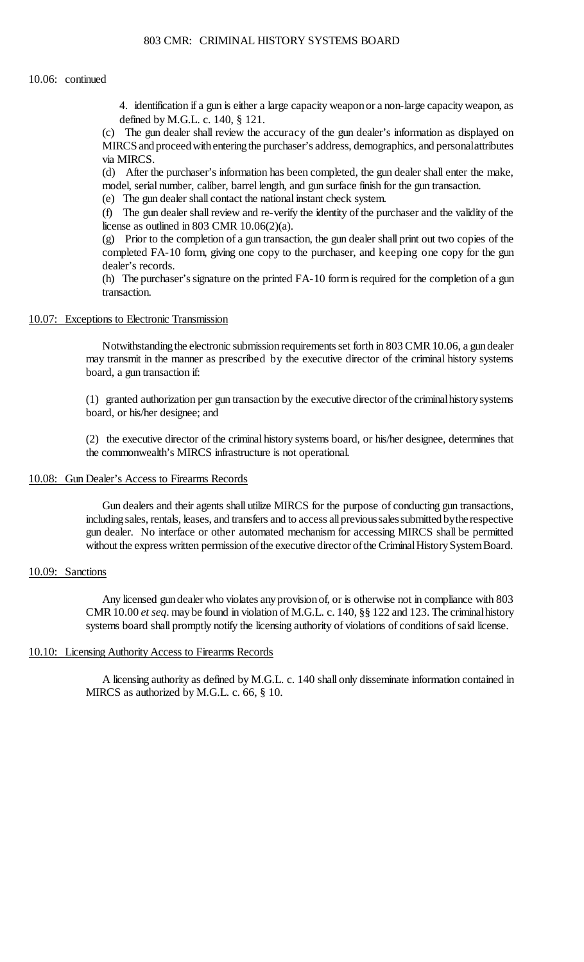#### 10.06: continued

 4. identification if a gun is either a large capacity weapon or a non-large capacity weapon, as defined by M.G.L. c. 140, § 121.

(c) The gun dealer shall review the accuracy of the gun dealer's information as displayed on MIRCS and proceed with entering the purchaser's address, demographics, and personalattributes via MIRCS.

 (d) After the purchaser's information has been completed, the gun dealer shall enter the make, model, serial number, caliber, barrel length, and gun surface finish for the gun transaction.

(e) The gun dealer shall contact the national instant check system.

 (f) The gun dealer shall review and re-verify the identity of the purchaser and the validity of the license as outlined in 803 CMR  $10.06(2)(a)$ .

 (g) Prior to the completion of a gun transaction, the gun dealer shall print out two copies of the completed FA-10 form, giving one copy to the purchaser, and keeping one copy for the gun dealer's records.

 (h) The purchaser's signature on the printed FA-10 form is required for the completion of a gun transaction.

### 10.07: Exceptions to Electronic Transmission

 Notwithstanding the electronic submission requirements set forth in 803 CMR 10.06, a gun dealer may transmit in the manner as prescribed by the executive director of the criminal history systems board, a gun transaction if:

 (1) granted authorization per gun transaction by the executive director ofthe criminalhistorysystems board, or his/her designee; and

 (2) the executive director of the criminal history systems board, or his/her designee, determines that the commonwealth's MIRCS infrastructure is not operational.

#### 10.08: Gun Dealer's Access to Firearms Records

including sales, rentals, leases, and transfers and to access all previous sales submitted by the respective without the express written permission of the executive director of the Criminal History System Board. Gun dealers and their agents shall utilize MIRCS for the purpose of conducting gun transactions, gun dealer. No interface or other automated mechanism for accessing MIRCS shall be permitted

# 10.09: Sanctions

 Any licensed gundealer who violates anyprovisionof, or is otherwise not in compliance with 803 CMR 10.00 *et seq*. may be found in violation of M.G.L. c. 140, §§ 122 and 123. The criminal history systems board shall promptly notify the licensing authority of violations of conditions of said license.

#### 10.10: Licensing Authority Access to Firearms Records

A licensing authority as defined by M.G.L. c. 140 shall only disseminate information contained in MIRCS as authorized by M.G.L. c. 66, § 10.